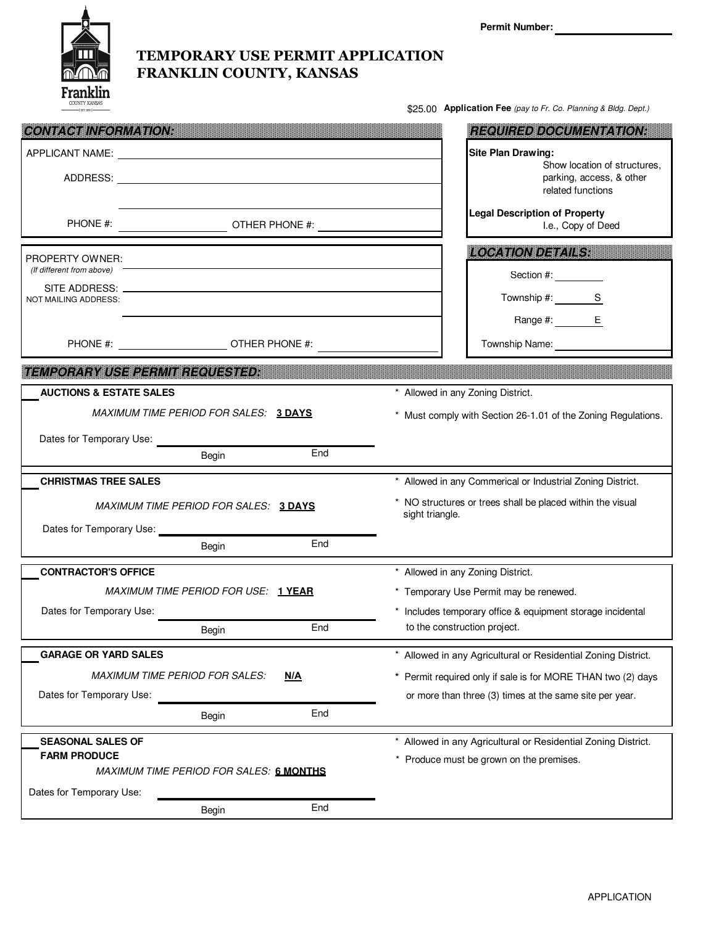

\$25.00 **Application Fee** (pay to Fr. Co. Planning & Bldg. Dept.)

| <b>CONTACT INFORMATION:</b>                                              |                                         |             |                                                                                                                         | <b>REQUIRED DOCUMENTATION:</b>                                                                             |
|--------------------------------------------------------------------------|-----------------------------------------|-------------|-------------------------------------------------------------------------------------------------------------------------|------------------------------------------------------------------------------------------------------------|
|                                                                          |                                         |             |                                                                                                                         | <b>Site Plan Drawing:</b><br>Show location of structures.<br>parking, access, & other<br>related functions |
| PHONE #:                                                                 | OTHER PHONE #:                          |             |                                                                                                                         | <b>Legal Description of Property</b><br>I.e., Copy of Deed                                                 |
| <b>PROPERTY OWNER:</b>                                                   |                                         |             |                                                                                                                         | <b>LOCATION DETAILS:</b>                                                                                   |
| (If different from above)                                                |                                         |             |                                                                                                                         | Section #:                                                                                                 |
| NOT MAILING ADDRESS:                                                     |                                         |             |                                                                                                                         | Township #: S                                                                                              |
|                                                                          |                                         |             |                                                                                                                         | Range #: E                                                                                                 |
|                                                                          |                                         |             |                                                                                                                         | Township Name:                                                                                             |
| <b>EMPORARY USE PERMIT REQUESTED:</b>                                    |                                         | unungingini | ,,,,,,,,,,,,,,,,,,,,,,,,,,,,                                                                                            |                                                                                                            |
| <b>AUCTIONS &amp; ESTATE SALES</b>                                       |                                         |             | * Allowed in any Zoning District.                                                                                       |                                                                                                            |
| MAXIMUM TIME PERIOD FOR SALES: 3 DAYS                                    |                                         |             | * Must comply with Section 26-1.01 of the Zoning Regulations.                                                           |                                                                                                            |
| Dates for Temporary Use:                                                 |                                         |             |                                                                                                                         |                                                                                                            |
|                                                                          | Begin                                   | End         |                                                                                                                         |                                                                                                            |
| <b>CHRISTMAS TREE SALES</b>                                              |                                         |             |                                                                                                                         | * Allowed in any Commerical or Industrial Zoning District.                                                 |
| MAXIMUM TIME PERIOD FOR SALES: 3 DAYS                                    |                                         |             | * NO structures or trees shall be placed within the visual<br>sight triangle.                                           |                                                                                                            |
|                                                                          | Begin                                   | End         |                                                                                                                         |                                                                                                            |
|                                                                          |                                         |             |                                                                                                                         | * Allowed in any Zoning District.                                                                          |
| <b>CONTRACTOR'S OFFICE</b>                                               |                                         |             |                                                                                                                         |                                                                                                            |
| MAXIMUM TIME PERIOD FOR USE: 1YEAR                                       |                                         |             | * Temporary Use Permit may be renewed.<br>* Includes temporary office & equipment storage incidental                    |                                                                                                            |
| Dates for Temporary Use:                                                 | Begin                                   | End         |                                                                                                                         | to the construction project.                                                                               |
| <b>GARAGE OR YARD SALES</b>                                              |                                         |             |                                                                                                                         | * Allowed in any Agricultural or Residential Zoning District.                                              |
|                                                                          |                                         |             |                                                                                                                         |                                                                                                            |
| <b>MAXIMUM TIME PERIOD FOR SALES:</b><br>N/A<br>Dates for Temporary Use: |                                         |             | * Permit required only if sale is for MORE THAN two (2) days<br>or more than three (3) times at the same site per year. |                                                                                                            |
|                                                                          | Begin                                   | End         |                                                                                                                         |                                                                                                            |
| <b>SEASONAL SALES OF</b>                                                 |                                         |             |                                                                                                                         | * Allowed in any Agricultural or Residential Zoning District.                                              |
| <b>FARM PRODUCE</b>                                                      |                                         |             |                                                                                                                         | * Produce must be grown on the premises.                                                                   |
|                                                                          | MAXIMUM TIME PERIOD FOR SALES: 6 MONTHS |             |                                                                                                                         |                                                                                                            |
| Dates for Temporary Use:                                                 |                                         |             |                                                                                                                         |                                                                                                            |
|                                                                          | Begin                                   | End         |                                                                                                                         |                                                                                                            |